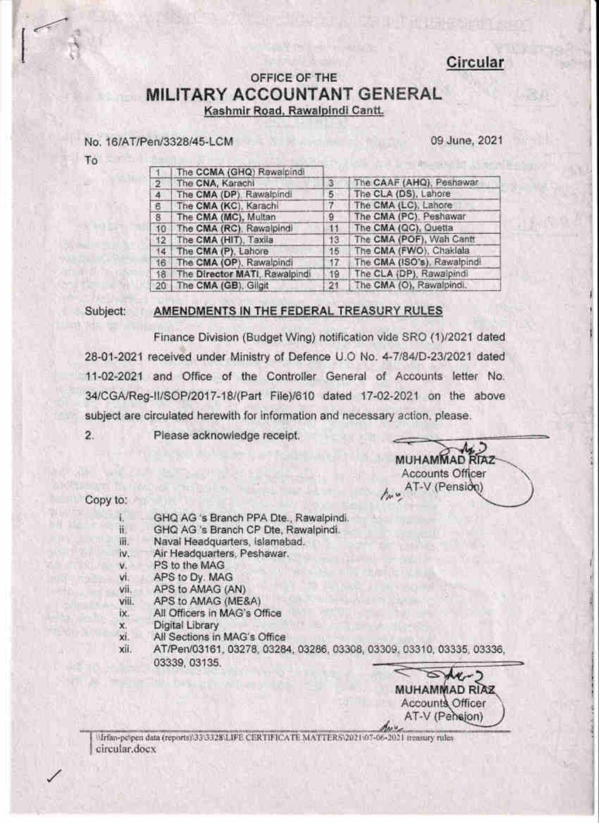### Circular

### OFFICE OF THE MILITARY ACCOUNTANT GENERAL Kashmir Road, Rawalpindi Cantt.

### No. 16/AT/Pen/3328/45-LCM

09 June, 2021

To

|                | The CCMA (GHQ) Rawalpindi     |          |                             |
|----------------|-------------------------------|----------|-----------------------------|
| $\overline{2}$ | The CNA, Karachi              | з        | The CAAF (AHQ), Peshawar    |
| 4              | The CMA (DP). Rawalpindi      | 5        | The CLA (DS), Lahore        |
| $\mathcal{B}$  | The CMA (KC), Karachi         |          | The CMA (LC), Lahore        |
| 8              | The CMA (MC), Multan          | Э        | The CMA (PC), Peshawar      |
| 10             | The CMA (RC), Rawalpindi      | 11       | The CMA (QC), Quetta        |
| 12             | The CMA (HIT), Taxila         | 13       | The CMA (POF), Wah Cantt    |
| 14.            | The CMA (P), Lahore           | 15       | The CMA (FWO), Chaklala     |
| $16^{\circ}$   | The CMA (OP), Rawalpindi      | $17^{1}$ | The CMA (ISO's), Rawalpindi |
| 18             | The Director MATI, Rawalpindi | 19       | The CLA (DP), Rawalpindi    |
|                | 20 The CMA (GB), Gligit       | 21       | The CMA (O), Rawalpindi.    |

#### Subject: AMENDMENTS IN THE FEDERAL TREASURY RULES

Finance Division (Budget Wing) notification vide SRO (1)/2021 dated 28-01-2021 received under Ministry of Defence U.O No. 4-7/84/D-23/2021 dated 11-02-2021 and Office of the Controller General of Accounts letter No. 34/CGA/Reg-II/SOP/2017-18/(Part File)/610 dated 17-02-2021 on the above subject are circulated herewith for information and necessary action, please.

 $\overline{2}$ . Please acknowledge receipt.

MUHAMMAD RIAZ **Accounts Officer** AT-V (Pensido)

Copy to:

- ī. GHQ AG 's Branch PPA Dte., Rawalpindi.
- H. GHQ AG 's Branch CP Dte, Rawalpindi.
- Naval Headquarters, Islamabad. 诩.
- Air Headquarters, Peshawar. iv.
- PS to the MAG  $V<sub>1</sub>$
- APS to Dy. MAG vi.
- APS to AMAG (AN) vii.
- viii. APS to AMAG (ME&A)
- All Officers in MAG's Office ix.
- Digital Library x.
- xi. All Sections in MAG's Office
- xii. AT/Pen/03161, 03278, 03284, 03286, 03308, 03309, 03310, 03335, 03336, 03339, 03135.

 $M$ **MUHAMMAD RIAZ** Accounts Officer AT-V (Pehejon)

Mrfan-pelpen data (reports) 33 3328 LIFE CERTIFICATE MATTERS 2021 67-06-2021 measury rules circular.docx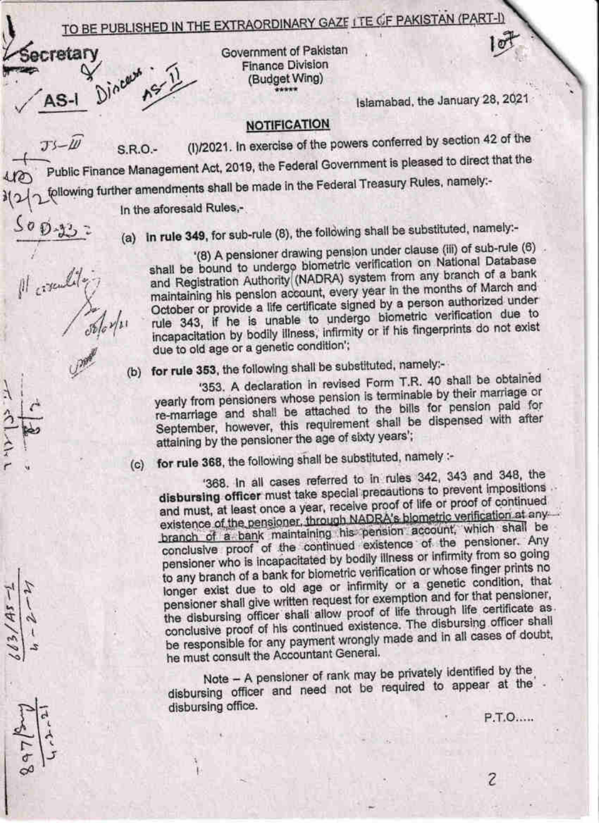# TO BE PUBLISHED IN THE EXTRAORDINARY GAZE ITE OF PAKISTAN (PART-I)



Il coronality

Government of Pakistan **Finance Division** (Budget Wing)

Islamabad, the January 28, 2021

l లా

### **NOTIFICATION**

(I)/2021. In exercise of the powers conferred by section 42 of the  $TS - I11$  $SRO-$ Public Finance Management Act, 2019, the Federal Government is pleased to direct that the following further amendments shall be made in the Federal Treasury Rules, namely:-

In the aforesald Rules.-

(a) in rule 349, for sub-rule (8), the following shall be substituted, namely:-

'(8) A pensioner drawing pension under clause (iii) of sub-rule (6) shall be bound to undergo biometric verification on National Database and Registration Authority (NADRA) system from any branch of a bank maintaining his pension account, every year in the months of March and October or provide a life certificate signed by a person authorized under rule 343, if he is unable to undergo biometric verification due to incapacitation by bodily illness, infirmity or if his fingerprints do not exist due to old age or a genetic condition';

(b) for rule 353, the following shall be substituted, namely:-

'353. A declaration in revised Form T.R. 40 shall be obtained yearly from pensioners whose pension is terminable by their marriage or re-marriage and shall be attached to the bills for pension paid for September, however, this requirement shall be dispensed with after attaining by the pensioner the age of sixty years';

(c) for rule 368, the following shall be substituted, namely :-

'368. In all cases referred to in rules 342, 343 and 348, the disbursing officer must take special precautions to prevent impositions . and must, at least once a year, receive proof of life or proof of continued existence of the pensioner, through NADRA's biometric verification at anybranch of a bank maintaining his pension account, which shall be conclusive proof of the continued existence of the pensioner. Any pensioner who is incapacitated by bodily illness or infirmity from so going to any branch of a bank for biometric verification or whose finger prints no longer exist due to old age or infirmity or a genetic condition, that pensioner shall give written request for exemption and for that pensioner, the disbursing officer shall allow proof of life through life certificate as conclusive proof of his continued existence. The disbursing officer shall be responsible for any payment wrongly made and in all cases of doubt, he must consult the Accountant General.

Note - A pensioner of rank may be privately identified by the disbursing officer and need not be required to appear at the disbursing office.

P.T.O.....

 $\overline{\mathcal{E}}$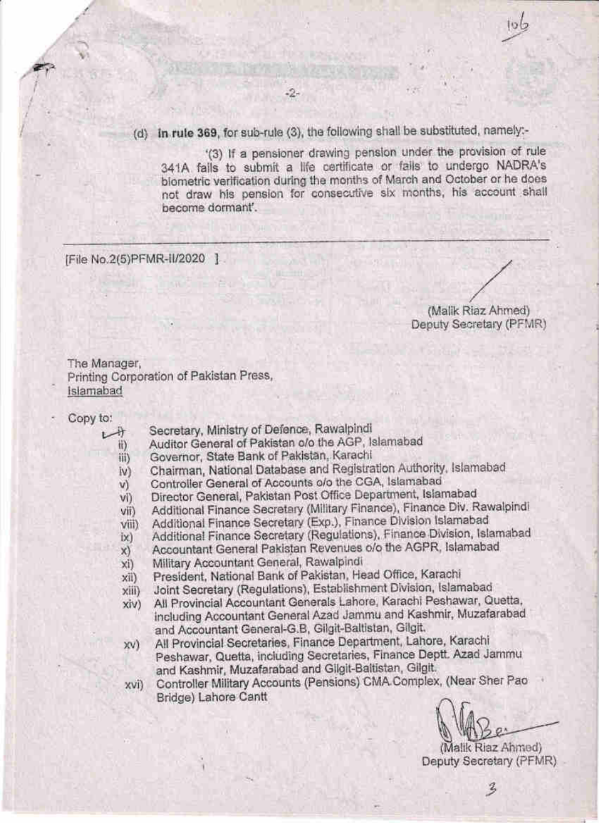(d) in rule 369, for sub-rule (3), the following shall be substituted, namely:-

-2-

'(3) If a pensioner drawing pension under the provision of rule 341A falls to submit a life certificate or fails to undergo NADRA's biometric verification during the months of March and October or he does not draw his pension for consecutive six months, his account shall become dormant'.

[File No.2(5)PFMR-II/2020 ]

(Malik Riaz Ahmed) Deputy Secretary (PFMR)

The Manager, Printing Corporation of Pakistan Press, Islamabad

- Copy to:
	- Secretary, Ministry of Defence, Rawalpindi  $+ +$ 
		- Auditor General of Pakistan o/o the AGP, Islamabad ii)

Governor, State Bank of Pakistan, Karachi iii)

- Chairman, National Database and Registration Authority, Islamabad iv)
- Controller General of Accounts o/o the CGA, Islamabad V)
- Director General, Pakistan Post Office Department, Islamabad vi)
- Additional Finance Secretary (Military Finance), Finance Div. Rawalpindi vii)
- Additional Finance Secretary (Exp.), Finance Division Islamabad viii)
- Additional Finance Secretary (Regulations), Finance Division, Islamabad ix)
- Accountant General Pakistan Revenues o/o the AGPR, Islamabad  $x)$
- Military Accountant General, Rawalpindi xi)
- President, National Bank of Pakistan, Head Office, Karachi xii)
- Joint Secretary (Regulations), Establishment Division, Islamabad  $xiii)$
- All Provincial Accountant Generals Lahore, Karachi Peshawar, Quetta, xiv) including Accountant General Azad Jammu and Kashmir, Muzafarabad and Accountant General-G.B, Gilgit-Baltistan, Gilgit.
- All Provincial Secretaries, Finance Department, Lahore, Karachi  $X(V)$ Peshawar, Quetta, including Secretaries, Finance Deptt. Azad Jammu and Kashmir, Muzafarabad and Gligit-Baltistan, Gilgit.
- Controller Military Accounts (Pensions) CMA Complex, (Near Sher Pao XVI) Bridge) Lahore Cantt

(Malik Riaz Ahmed) Deputy Secretary (PFMR)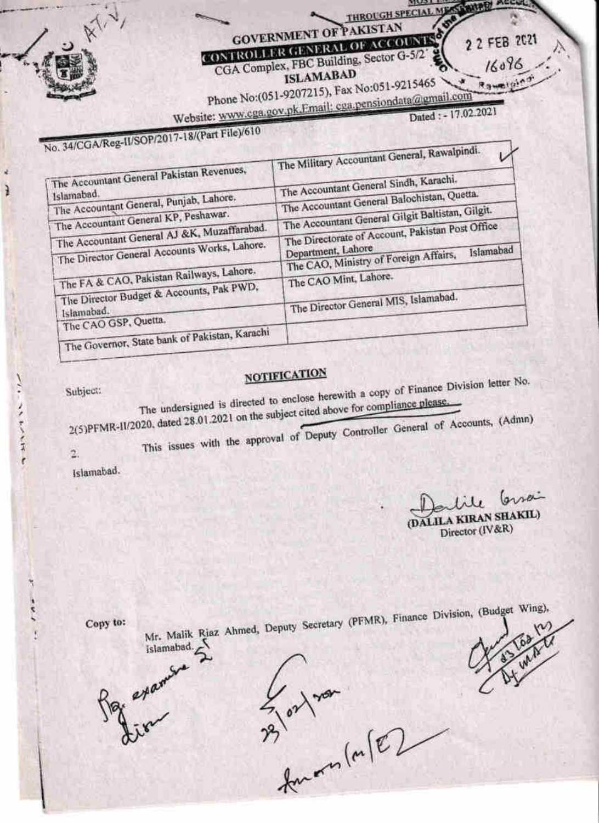**GOVERNMENT OF PAKISTAN** CONTROLLER GENERAL OF ACCOUNTS CGA Complex, FBC Building, Sector G-5/2

**ISLAMABAD** 

Phone No:(051-9207215), Fax No:051-9215465

THROUGH SPECIAL ME

**ALCOHOL** 

2 2 FEB 2021

16096

Rawellin

Website: www.cga.gov.pk.Email: cga.pensiondata@gmail.com Dated: - 17.02.2021

# No. 34/CGA/Reg-II/SOP/2017-18/(Part File)/610

| THE R. P. LEWIS CO., LANSING MICH.                    |                                                                                        |
|-------------------------------------------------------|----------------------------------------------------------------------------------------|
| The Accountant General Pakistan Revenues,             | The Military Accountant General, Rawaipingl.<br>The Accountant General Sindh, Karachi. |
| Islamabad.<br>The Accountant General, Punjab, Lahore. | The Accountant General Balochistan, Quetta.                                            |
| The Accountant General KP, Peshawar.                  | The Accountant General Gilgit Baltistan, Gilgit.                                       |
| The Accountant General AJ &K, Muzaffarabad.           | The Directorate of Account, Pakistan Post Office                                       |
| The Director General Accounts Works, Lahore.          | Department, Lahore<br>Islamabad<br>The CAO, Ministry of Foreign Affairs,               |
| The FA & CAO, Pakistan Railways, Lahore.              | The CAO Mint, Lahore.                                                                  |
| The Director Budget & Accounts, Pak PWD,              | The Director General MIS, Islamabad.                                                   |
| Islamabad.<br>The CAO GSP, Quetta.                    |                                                                                        |
| The Governor, State bank of Pakistan, Karachi         |                                                                                        |

## **NOTIFICATION**

Subject:

ì

 $\frac{1}{2}$ 

コンティンド

 $\overline{\mathbf{r}}$ 

Î

The undersigned is directed to enclose herewith a copy of Finance Division letter No. 2(5)PFMR-II/2020, dated 28.01.2021 on the subject cited above for compliance please.

This issues with the approval of Deputy Controller General of Accounts, (Admn)

 $\overline{2}$ 

Islamabad.

orsai (DALILA KIRAN SHAKIL)

Director (IV&R)

Copy to:

Mr. Malik Riaz Ahmed, Deputy Secretary (PFMR), Finance Division, (Budget Wing),

3 or nor<br>23 or nor

examin

islamabad.